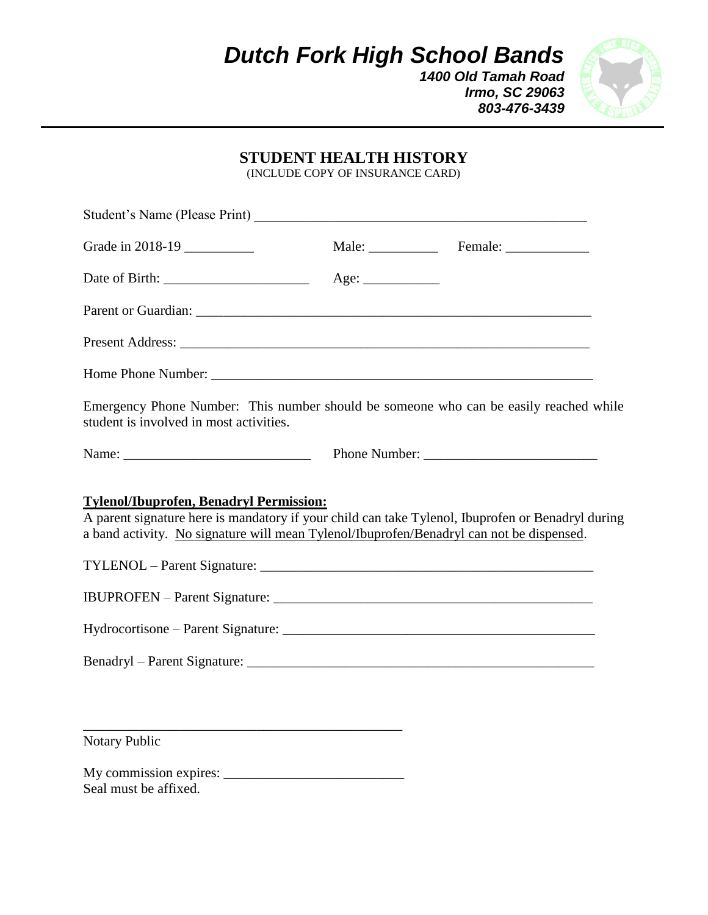*Dutch Fork High School Bands*

*1400 Old Tamah Road Irmo, SC 29063 803-476-3439*



## **STUDENT HEALTH HISTORY**

(INCLUDE COPY OF INSURANCE CARD)

| Student's Name (Please Print)                                                                                                                                                                                                                                                           |      |  |
|-----------------------------------------------------------------------------------------------------------------------------------------------------------------------------------------------------------------------------------------------------------------------------------------|------|--|
| Grade in 2018-19                                                                                                                                                                                                                                                                        |      |  |
|                                                                                                                                                                                                                                                                                         | Age: |  |
|                                                                                                                                                                                                                                                                                         |      |  |
|                                                                                                                                                                                                                                                                                         |      |  |
|                                                                                                                                                                                                                                                                                         |      |  |
| Emergency Phone Number: This number should be someone who can be easily reached while<br>student is involved in most activities.                                                                                                                                                        |      |  |
|                                                                                                                                                                                                                                                                                         |      |  |
| <b>Tylenol/Ibuprofen, Benadryl Permission:</b><br>A parent signature here is mandatory if your child can take Tylenol, Ibuprofen or Benadryl during<br>a band activity. No signature will mean Tylenol/Ibuprofen/Benadryl can not be dispensed.<br><b>IBUPROFEN</b> – Parent Signature: |      |  |
|                                                                                                                                                                                                                                                                                         |      |  |
|                                                                                                                                                                                                                                                                                         |      |  |
| Notary Public                                                                                                                                                                                                                                                                           |      |  |

My commission expires: \_\_\_\_\_\_\_\_\_\_\_\_\_\_\_\_\_\_\_\_\_\_\_\_\_\_ Seal must be affixed.